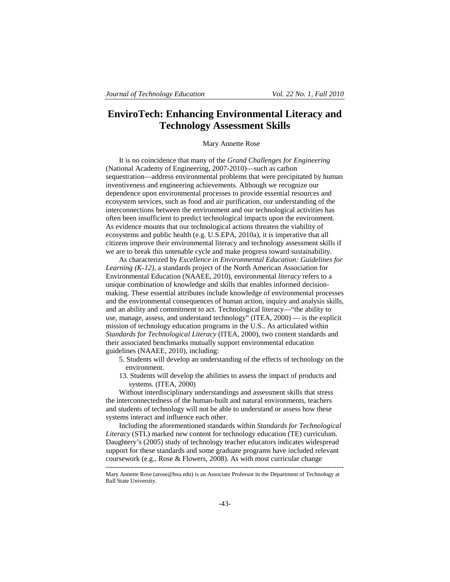# **EnviroTech: Enhancing Environmental Literacy and Technology Assessment Skills**

Mary Annette Rose

It is no coincidence that many of the *Grand Challenges for Engineering* (National Academy of Engineering, 2007-2010)—such as carbon sequestration—address environmental problems that were precipitated by human inventiveness and engineering achievements. Although we recognize our dependence upon environmental processes to provide essential resources and ecosystem services, such as food and air purification, our understanding of the interconnections between the environment and our technological activities has often been insufficient to predict technological impacts upon the environment. As evidence mounts that our technological actions threaten the viability of ecosystems and public health (e.g. U.S.EPA, 2010a), it is imperative that all citizens improve their environmental literacy and technology assessment skills if we are to break this untenable cycle and make progress toward sustainability.

As characterized by *Excellence in Environmental Education: Guidelines for Learning (K-12)*, a standards project of the North American Association for Environmental Education (NAAEE, 2010), environmental *literacy* refers to a unique combination of knowledge and skills that enables informed decisionmaking. These essential attributes include knowledge of environmental processes and the environmental consequences of human action, inquiry and analysis skills, and an ability and commitment to act. Technological literacy—"the ability to use, manage, assess, and understand technology" (ITEA, 2000) — is the explicit mission of technology education programs in the U.S.. As articulated within *Standards for Technological Literacy* (ITEA, 2000), two content standards and their associated benchmarks mutually support environmental education guidelines (NAAEE, 2010), including:

- 5. Students will develop an understanding of the effects of technology on the environment.
- 13. Students will develop the abilities to assess the impact of products and systems. (ITEA, 2000)

Without interdisciplinary understandings and assessment skills that stress the interconnectedness of the human-built and natural environments, teachers and students of technology will not be able to understand or assess how these systems interact and influence each other.

Including the aforementioned standards within *Standards for Technological Literacy* (STL) marked new content for technology education (TE) curriculum. Daughtery's (2005) study of technology teacher educators indicates widespread support for these standards and some graduate programs have included relevant coursework (e.g., Rose & Flowers, 2008). As with most curricular change

----------------------------------------------------------------------------------------------------

Mary Annette Rose (arose@bsu.edu) is an Associate Professor in the Department of Technology at Ball State University.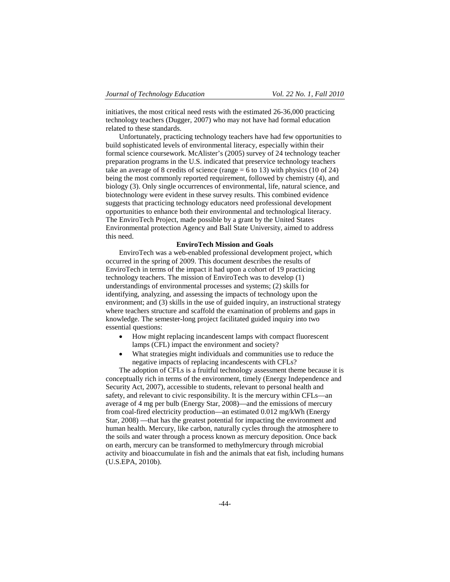initiatives, the most critical need rests with the estimated 26-36,000 practicing technology teachers (Dugger, 2007) who may not have had formal education related to these standards.

Unfortunately, practicing technology teachers have had few opportunities to build sophisticated levels of environmental literacy, especially within their formal science coursework. McAlister's (2005) survey of 24 technology teacher preparation programs in the U.S. indicated that preservice technology teachers take an average of 8 credits of science (range = 6 to 13) with physics (10 of 24) being the most commonly reported requirement, followed by chemistry (4), and biology (3). Only single occurrences of environmental, life, natural science, and biotechnology were evident in these survey results. This combined evidence suggests that practicing technology educators need professional development opportunities to enhance both their environmental and technological literacy. The EnviroTech Project, made possible by a grant by the United States Environmental protection Agency and Ball State University, aimed to address this need.

# **EnviroTech Mission and Goals**

EnviroTech was a web-enabled professional development project, which occurred in the spring of 2009. This document describes the results of EnviroTech in terms of the impact it had upon a cohort of 19 practicing technology teachers. The mission of EnviroTech was to develop (1) understandings of environmental processes and systems; (2) skills for identifying, analyzing, and assessing the impacts of technology upon the environment; and (3) skills in the use of guided inquiry, an instructional strategy where teachers structure and scaffold the examination of problems and gaps in knowledge. The semester-long project facilitated guided inquiry into two essential questions:

- How might replacing incandescent lamps with compact fluorescent lamps (CFL) impact the environment and society?
- What strategies might individuals and communities use to reduce the negative impacts of replacing incandescents with CFLs?

The adoption of CFLs is a fruitful technology assessment theme because it is conceptually rich in terms of the environment, timely (Energy Independence and Security Act, 2007), accessible to students, relevant to personal health and safety, and relevant to civic responsibility. It is the mercury within CFLs—an average of 4 mg per bulb (Energy Star, 2008)—and the emissions of mercury from coal-fired electricity production—an estimated 0.012 mg/kWh (Energy Star, 2008) —that has the greatest potential for impacting the environment and human health. Mercury, like carbon, naturally cycles through the atmosphere to the soils and water through a process known as mercury deposition. Once back on earth, mercury can be transformed to methylmercury through microbial activity and bioaccumulate in fish and the animals that eat fish, including humans (U.S.EPA, 2010b).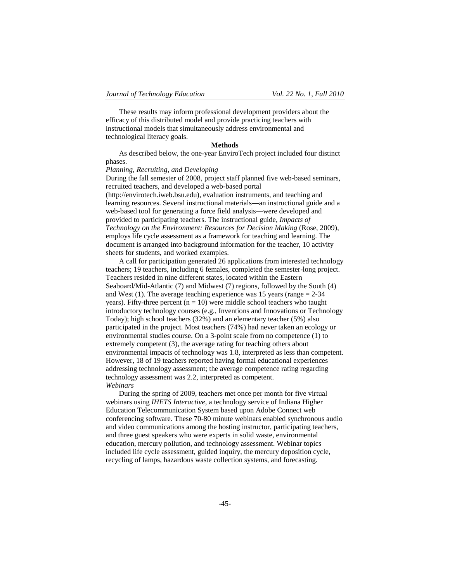These results may inform professional development providers about the efficacy of this distributed model and provide practicing teachers with instructional models that simultaneously address environmental and technological literacy goals.

## **Methods**

As described below, the one-year EnviroTech project included four distinct phases.

#### *Planning, Recruiting, and Developing*

During the fall semester of 2008, project staff planned five web-based seminars, recruited teachers, and developed a web-based portal (http://envirotech.iweb.bsu.edu), evaluation instruments, and teaching and learning resources. Several instructional materials—an instructional guide and a web-based tool for generating a force field analysis—were developed and provided to participating teachers. The instructional guide, *Impacts of Technology on the Environment: Resources for Decision Making (Rose, 2009),* employs life cycle assessment as a framework for teaching and learning. The document is arranged into background information for the teacher, 10 activity sheets for students, and worked examples.

A call for participation generated 26 applications from interested technology teachers; 19 teachers, including 6 females, completed the semester-long project. Teachers resided in nine different states, located within the Eastern Seaboard/Mid-Atlantic (7) and Midwest (7) regions, followed by the South (4) and West (1). The average teaching experience was 15 years (range  $= 2-34$ ) years). Fifty-three percent ( $n = 10$ ) were middle school teachers who taught introductory technology courses (e.g., Inventions and Innovations or Technology Today); high school teachers (32%) and an elementary teacher (5%) also participated in the project. Most teachers (74%) had never taken an ecology or environmental studies course. On a 3-point scale from no competence (1) to extremely competent (3), the average rating for teaching others about environmental impacts of technology was 1.8, interpreted as less than competent. However, 18 of 19 teachers reported having formal educational experiences addressing technology assessment; the average competence rating regarding technology assessment was 2.2, interpreted as competent. *Webinars* 

During the spring of 2009, teachers met once per month for five virtual webinars using *IHETS Interactive*, a technology service of Indiana Higher Education Telecommunication System based upon Adobe Connect web conferencing software. These 70-80 minute webinars enabled synchronous audio and video communications among the hosting instructor, participating teachers, and three guest speakers who were experts in solid waste, environmental education, mercury pollution, and technology assessment. Webinar topics included life cycle assessment, guided inquiry, the mercury deposition cycle, recycling of lamps, hazardous waste collection systems, and forecasting.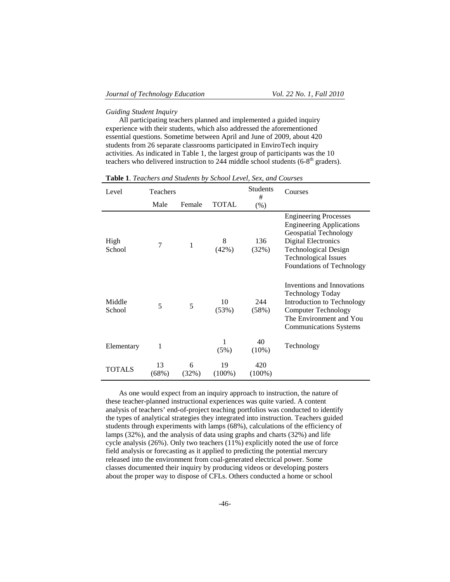#### *Guiding Student Inquiry*

All participating teachers planned and implemented a guided inquiry experience with their students, which also addressed the aforementioned essential questions. Sometime between April and June of 2009, about 420 students from 26 separate classrooms participated in EnviroTech inquiry activities. As indicated in Table 1, the largest group of participants was the 10 teachers who delivered instruction to 244 middle school students ( $6-8<sup>th</sup>$  graders).

| Level            | Teachers    |            |                 | Students<br>#    | Courses                                                                                                                                                                                                           |  |
|------------------|-------------|------------|-----------------|------------------|-------------------------------------------------------------------------------------------------------------------------------------------------------------------------------------------------------------------|--|
|                  | Male        | Female     | <b>TOTAL</b>    | $(\% )$          |                                                                                                                                                                                                                   |  |
| High<br>School   | 7           | 1          | 8<br>(42%)      | 136<br>(32%)     | <b>Engineering Processes</b><br><b>Engineering Applications</b><br>Geospatial Technology<br><b>Digital Electronics</b><br><b>Technological Design</b><br><b>Technological Issues</b><br>Foundations of Technology |  |
| Middle<br>School | 5           | 5          | 10<br>(53%)     | 244<br>(58%)     | Inventions and Innovations<br><b>Technology Today</b><br>Introduction to Technology<br><b>Computer Technology</b><br>The Environment and You<br><b>Communications Systems</b>                                     |  |
| Elementary       | 1           |            | 1<br>(5%)       | 40<br>(10%)      | Technology                                                                                                                                                                                                        |  |
| <b>TOTALS</b>    | 13<br>(68%) | 6<br>(32%) | 19<br>$(100\%)$ | 420<br>$(100\%)$ |                                                                                                                                                                                                                   |  |

**Table 1**. *Teachers and Students by School Level, Sex, and Courses*

As one would expect from an inquiry approach to instruction, the nature of these teacher-planned instructional experiences was quite varied. A content analysis of teachers' end-of-project teaching portfolios was conducted to identify the types of analytical strategies they integrated into instruction. Teachers guided students through experiments with lamps (68%), calculations of the efficiency of lamps (32%), and the analysis of data using graphs and charts (32%) and life cycle analysis (26%). Only two teachers (11%) explicitly noted the use of force field analysis or forecasting as it applied to predicting the potential mercury released into the environment from coal-generated electrical power. Some classes documented their inquiry by producing videos or developing posters about the proper way to dispose of CFLs. Others conducted a home or school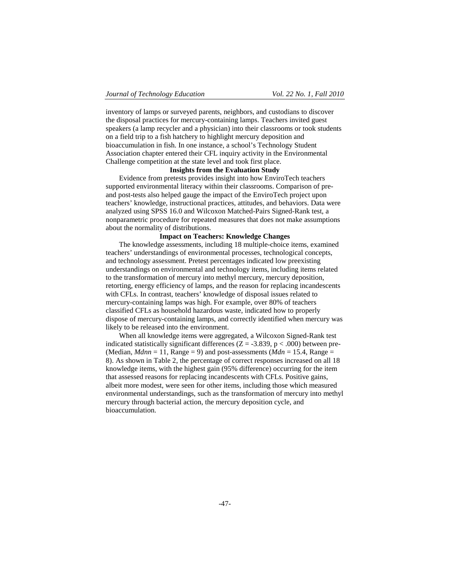inventory of lamps or surveyed parents, neighbors, and custodians to discover the disposal practices for mercury-containing lamps. Teachers invited guest speakers (a lamp recycler and a physician) into their classrooms or took students on a field trip to a fish hatchery to highlight mercury deposition and bioaccumulation in fish. In one instance, a school's Technology Student Association chapter entered their CFL inquiry activity in the Environmental Challenge competition at the state level and took first place.

# **Insights from the Evaluation Study**

Evidence from pretests provides insight into how EnviroTech teachers supported environmental literacy within their classrooms. Comparison of preand post-tests also helped gauge the impact of the EnviroTech project upon teachers' knowledge, instructional practices, attitudes, and behaviors. Data were analyzed using SPSS 16.0 and Wilcoxon Matched-Pairs Signed-Rank test, a nonparametric procedure for repeated measures that does not make assumptions about the normality of distributions.

### **Impact on Teachers: Knowledge Changes**

The knowledge assessments, including 18 multiple-choice items, examined teachers' understandings of environmental processes, technological concepts, and technology assessment. Pretest percentages indicated low preexisting understandings on environmental and technology items, including items related to the transformation of mercury into methyl mercury, mercury deposition, retorting, energy efficiency of lamps, and the reason for replacing incandescents with CFLs. In contrast, teachers' knowledge of disposal issues related to mercury-containing lamps was high. For example, over 80% of teachers classified CFLs as household hazardous waste, indicated how to properly dispose of mercury-containing lamps, and correctly identified when mercury was likely to be released into the environment.

When all knowledge items were aggregated, a Wilcoxon Signed-Rank test indicated statistically significant differences ( $Z = -3.839$ ,  $p < .000$ ) between pre-(Median,  $Mdnn = 11$ , Range = 9) and post-assessments ( $Mdn = 15.4$ , Range = 8). As shown in Table 2, the percentage of correct responses increased on all 18 knowledge items, with the highest gain (95% difference) occurring for the item that assessed reasons for replacing incandescents with CFLs. Positive gains, albeit more modest, were seen for other items, including those which measured environmental understandings, such as the transformation of mercury into methyl mercury through bacterial action, the mercury deposition cycle, and bioaccumulation.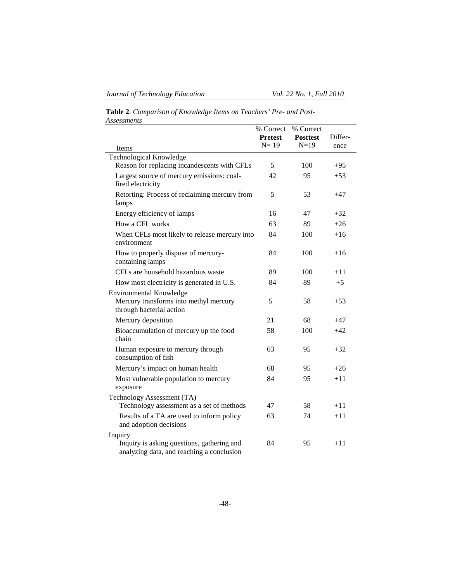e<br>H

**Table 2**. *Comparison of Knowledge Items on Teachers' Pre- and Post-Assessments*

|                                                                                                      | % Correct<br><b>Pretest</b> | % Correct<br><b>Posttest</b> | Differ- |
|------------------------------------------------------------------------------------------------------|-----------------------------|------------------------------|---------|
| Items                                                                                                | $N=19$                      | $N=19$                       | ence    |
| Technological Knowledge                                                                              |                             |                              |         |
| Reason for replacing incandescents with CFLs                                                         | 5                           | 100                          | $+95$   |
| Largest source of mercury emissions: coal-<br>fired electricity                                      | 42                          | 95                           | $+53$   |
| Retorting: Process of reclaiming mercury from<br>lamps                                               | 5                           | 53                           | $+47$   |
| Energy efficiency of lamps                                                                           | 16                          | 47                           | $+32$   |
| How a CFL works                                                                                      | 63                          | 89                           | $+26$   |
| When CFLs most likely to release mercury into<br>environment                                         | 84                          | 100                          | $+16$   |
| How to properly dispose of mercury-<br>containing lamps                                              | 84                          | 100                          | $+16$   |
| CFLs are household hazardous waste                                                                   | 89                          | 100                          | $+11$   |
| How most electricity is generated in U.S.                                                            | 84                          | 89                           | $+5$    |
| <b>Environmental Knowledge</b><br>Mercury transforms into methyl mercury<br>through bacterial action | 5                           | 58                           | $+53$   |
| Mercury deposition                                                                                   | 21                          | 68                           | $+47$   |
| Bioaccumulation of mercury up the food<br>chain                                                      | 58                          | 100                          | $+42$   |
| Human exposure to mercury through<br>consumption of fish                                             | 63                          | 95                           | $+32$   |
| Mercury's impact on human health                                                                     | 68                          | 95                           | $+26$   |
| Most vulnerable population to mercury<br>exposure                                                    | 84                          | 95                           | $+11$   |
| Technology Assessment (TA)<br>Technology assessment as a set of methods                              | 47                          | 58                           | $+11$   |
| Results of a TA are used to inform policy<br>and adoption decisions                                  | 63                          | 74                           | $+11$   |
| Inquiry<br>Inquiry is asking questions, gathering and<br>analyzing data, and reaching a conclusion   | 84                          | 95                           | $+11$   |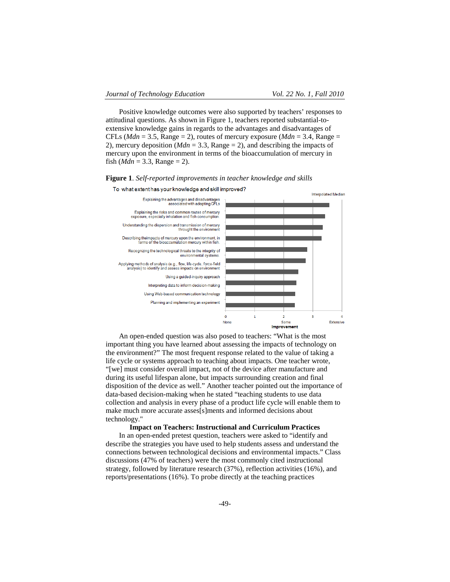Positive knowledge outcomes were also supported by teachers' responses to attitudinal questions. As shown in Figure 1, teachers reported substantial-toextensive knowledge gains in regards to the advantages and disadvantages of CFLs ( $Mdn = 3.5$ , Range = 2), routes of mercury exposure ( $Mdn = 3.4$ , Range = 2), mercury deposition (*Mdn* = 3.3, Range = 2), and describing the impacts of mercury upon the environment in terms of the bioaccumulation of mercury in fish (*Mdn* = 3.3, Range = 2).



To what extent has your knowledge and skill improved?



An open-ended question was also posed to teachers: "What is the most important thing you have learned about assessing the impacts of technology on the environment?" The most frequent response related to the value of taking a life cycle or systems approach to teaching about impacts. One teacher wrote, "[we] must consider overall impact, not of the device after manufacture and during its useful lifespan alone, but impacts surrounding creation and final disposition of the device as well." Another teacher pointed out the importance of data-based decision-making when he stated "teaching students to use data collection and analysis in every phase of a product life cycle will enable them to make much more accurate asses[s]ments and informed decisions about technology."

# **Impact on Teachers: Instructional and Curriculum Practices**

In an open-ended pretest question, teachers were asked to "identify and describe the strategies you have used to help students assess and understand the connections between technological decisions and environmental impacts." Class discussions (47% of teachers) were the most commonly cited instructional strategy, followed by literature research (37%), reflection activities (16%), and reports/presentations (16%). To probe directly at the teaching practices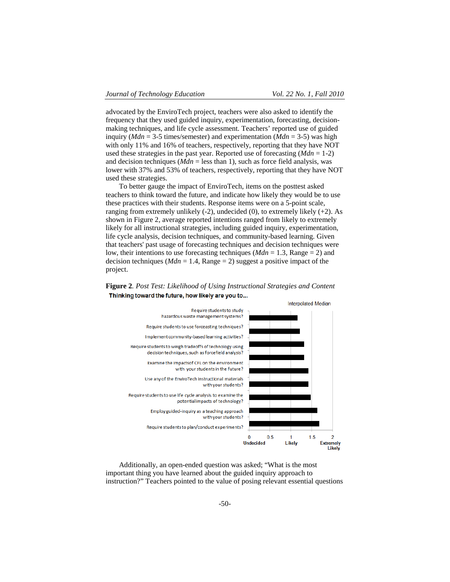advocated by the EnviroTech project, teachers were also asked to identify the frequency that they used guided inquiry, experimentation, forecasting, decisionmaking techniques, and life cycle assessment. Teachers' reported use of guided inquiry (*Mdn* = 3-5 times/semester) and experimentation (*Mdn* = 3-5) was high with only 11% and 16% of teachers, respectively, reporting that they have NOT used these strategies in the past year. Reported use of forecasting (*Mdn* = 1-2) and decision techniques ( $Mdn =$  less than 1), such as force field analysis, was lower with 37% and 53% of teachers, respectively, reporting that they have NOT used these strategies.

To better gauge the impact of EnviroTech, items on the posttest asked teachers to think toward the future, and indicate how likely they would be to use these practices with their students. Response items were on a 5-point scale, ranging from extremely unlikely  $(-2)$ , undecided  $(0)$ , to extremely likely  $(+2)$ . As shown in Figure 2, average reported intentions ranged from likely to extremely likely for all instructional strategies, including guided inquiry, experimentation, life cycle analysis, decision techniques, and community-based learning. Given that teachers' past usage of forecasting techniques and decision techniques were low, their intentions to use forecasting techniques (*Mdn* = 1.3, Range = 2) and decision techniques ( $Mdn = 1.4$ , Range = 2) suggest a positive impact of the project.





Additionally, an open-ended question was asked; "What is the most important thing you have learned about the guided inquiry approach to instruction?" Teachers pointed to the value of posing relevant essential questions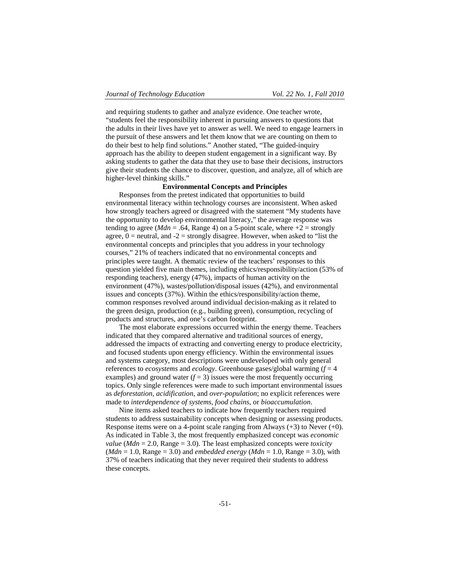and requiring students to gather and analyze evidence. One teacher wrote, "students feel the responsibility inherent in pursuing answers to questions that the adults in their lives have yet to answer as well. We need to engage learners in the pursuit of these answers and let them know that we are counting on them to do their best to help find solutions." Another stated, "The guided-inquiry approach has the ability to deepen student engagement in a significant way. By asking students to gather the data that they use to base their decisions, instructors give their students the chance to discover, question, and analyze, all of which are higher-level thinking skills."

# **Environmental Concepts and Principles**

Responses from the pretest indicated that opportunities to build environmental literacy within technology courses are inconsistent. When asked how strongly teachers agreed or disagreed with the statement "My students have the opportunity to develop environmental literacy," the average response was tending to agree (*Mdn* = .64, Range 4) on a 5-point scale, where  $+2$  = strongly agree,  $0$  = neutral, and  $-2$  = strongly disagree. However, when asked to "list the environmental concepts and principles that you address in your technology courses," 21% of teachers indicated that no environmental concepts and principles were taught. A thematic review of the teachers' responses to this question yielded five main themes, including ethics/responsibility/action (53% of responding teachers), energy (47%), impacts of human activity on the environment (47%), wastes/pollution/disposal issues (42%), and environmental issues and concepts (37%). Within the ethics/responsibility/action theme, common responses revolved around individual decision-making as it related to the green design, production (e.g., building green), consumption, recycling of products and structures, and one's carbon footprint.

The most elaborate expressions occurred within the energy theme. Teachers indicated that they compared alternative and traditional sources of energy, addressed the impacts of extracting and converting energy to produce electricity, and focused students upon energy efficiency. Within the environmental issues and systems category, most descriptions were undeveloped with only general references to *ecosystems* and *ecology*. Greenhouse gases/global warming (*f* = 4 examples) and ground water  $(f = 3)$  issues were the most frequently occurring topics. Only single references were made to such important environmental issues as *deforestation*, *acidification*, and *over-population*; no explicit references were made to *interdependence of systems*, *food chains*, or *bioaccumulation*.

Nine items asked teachers to indicate how frequently teachers required students to address sustainability concepts when designing or assessing products. Response items were on a 4-point scale ranging from Always  $(+3)$  to Never  $(+0)$ . As indicated in Table 3, the most frequently emphasized concept was *economic value* (*Mdn* = 2.0, Range = 3.0). The least emphasized concepts were *toxicity*  $(Mdn = 1.0, Range = 3.0)$  and *embedded energy*  $(Mdn = 1.0, Range = 3.0)$ , with 37% of teachers indicating that they never required their students to address these concepts.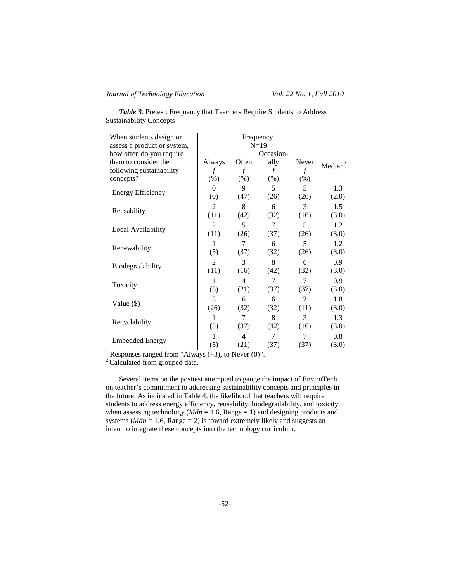| When students design or     |                |                |        |        |                     |
|-----------------------------|----------------|----------------|--------|--------|---------------------|
| assess a product or system, |                |                |        |        |                     |
| how often do you require    |                |                |        |        |                     |
| them to consider the        | Always         | Often          | ally   | Never  | Median <sup>2</sup> |
| following sustainability    | f              | f              | f      | f      |                     |
| concepts?                   | $(\%)$         | $(\%)$         | $(\%)$ | $(\%)$ |                     |
|                             | $\theta$       | 9              | 5      | 5      | 1.3                 |
| <b>Energy Efficiency</b>    | (0)            | (47)           | (26)   | (26)   | (2.0)               |
|                             | $\overline{2}$ | 8              | 6      | 3      | 1.5                 |
| Reusability                 | (11)           | (42)           | (32)   | (16)   | (3.0)               |
|                             | $\overline{2}$ | 5              | 7      | 5      | 1.2                 |
| Local Availability          | (11)           | (26)           | (37)   | (26)   | (3.0)               |
|                             | 1              | 7              | 6      | 5      | 1.2                 |
| Renewability                | (5)            | (37)           | (32)   | (26)   | (3.0)               |
|                             | $\overline{2}$ | 3              | 8      | 6      | 0.9                 |
| Biodegradability            | (11)           | (16)           | (42)   | (32)   | (3.0)               |
|                             | 1              | $\overline{4}$ | 7      | 7      | 0.9                 |
| Toxicity                    | (5)            | (21)           | (37)   | (37)   | (3.0)               |
|                             | 5              | 6              | 6      | 2      | 1.8                 |
| Value $(\$)$                | (26)           | (32)           | (32)   | (11)   | (3.0)               |
|                             | 1              | 7              | 8      | 3      | 1.3                 |
| Recyclability               | (5)            | (37)           | (42)   | (16)   | (3.0)               |
|                             | 1              | 4              | 7      | 7      | 0.8                 |
| <b>Embedded Energy</b>      | (5)            | (21)           | (37)   | (37)   | (3.0)               |

*Table 3*. Pretest: Frequency that Teachers Require Students to Address Sustainability Concepts

<sup>1</sup> Responses ranged from "Always  $(+3)$ , to Never  $(0)$ ".

<sup>2</sup> Calculated from grouped data.

Several items on the posttest attempted to gauge the impact of EnviroTech on teacher's commitment to addressing sustainability concepts and principles in the future. As indicated in Table 4, the likelihood that teachers will require students to address energy efficiency, reusability, biodegradability, and toxicity when assessing technology ( $Mdn = 1.6$ , Range = 1) and designing products and systems ( $Mdn = 1.6$ , Range = 2) is toward extremely likely and suggests an intent to integrate these concepts into the technology curriculum.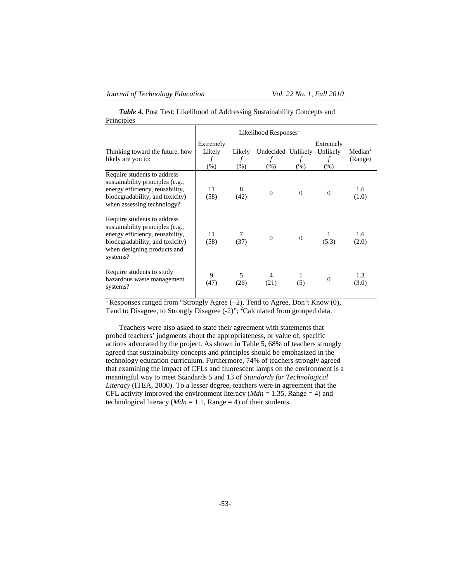*Table 4.* Post Test: Likelihood of Addressing Sustainability Concepts and Principles

| Thinking toward the future, how<br>likely are you to:                                                                                                                            | Extremely<br>Likely<br>f<br>$(\%)$ | Likely<br>f<br>$(\% )$ | Undecided Unlikely<br>f<br>(% ) | (% )     | Extremely<br>Unlikely<br>f<br>$(\%)$ | Median <sup>2</sup><br>(Range) |
|----------------------------------------------------------------------------------------------------------------------------------------------------------------------------------|------------------------------------|------------------------|---------------------------------|----------|--------------------------------------|--------------------------------|
| Require students to address<br>sustainability principles (e.g.,<br>energy efficiency, reusability,<br>biodegradability, and toxicity)<br>when assessing technology?              | 11<br>(58)                         | 8<br>(42)              | $\Omega$                        | $\Omega$ | $\Omega$                             | 1.6<br>(1.0)                   |
| Require students to address<br>sustainability principles (e.g.,<br>energy efficiency, reusability,<br>biodegradability, and toxicity)<br>when designing products and<br>systems? | 11<br>(58)                         | (37)                   | $\overline{0}$                  | $\Omega$ | (5.3)                                | 1.6<br>(2.0)                   |
| Require students to study<br>hazardous waste management<br>systems?                                                                                                              | 9<br>(47)                          | 5<br>(26)              | (21)                            | 1<br>(5) | $\Omega$                             | 1.3<br>(3.0)                   |

<sup>1</sup> Responses ranged from "Strongly Agree (+2), Tend to Agree, Don't Know (0), Tend to Disagree, to Strongly Disagree (-2)"; <sup>2</sup>Calculated from grouped data.

Teachers were also asked to state their agreement with statements that probed teachers' judgments about the appropriateness, or value of, specific actions advocated by the project. As shown in Table 5, 68% of teachers strongly agreed that sustainability concepts and principles should be emphasized in the technology education curriculum. Furthermore, 74% of teachers strongly agreed that examining the impact of CFLs and fluorescent lamps on the environment is a meaningful way to meet Standards 5 and 13 of *Standards for Technological Literacy* (ITEA, 2000). To a lesser degree, teachers were in agreement that the CFL activity improved the environment literacy ( $Mdn = 1.35$ , Range = 4) and technological literacy ( $Mdn = 1.1$ , Range = 4) of their students.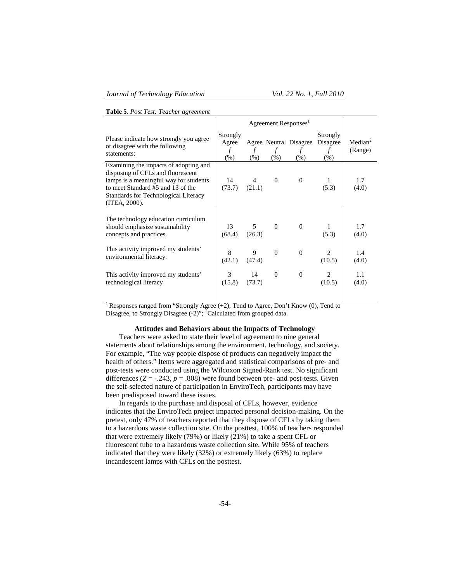|  | Table 5. Post Test: Teacher agreement |
|--|---------------------------------------|
|--|---------------------------------------|

|                                                                                                                                                                                                                           | Agreement Responses <sup>1</sup> |                          |                         |                                     |                                      |                                |
|---------------------------------------------------------------------------------------------------------------------------------------------------------------------------------------------------------------------------|----------------------------------|--------------------------|-------------------------|-------------------------------------|--------------------------------------|--------------------------------|
| Please indicate how strongly you agree<br>or disagree with the following<br>statements:                                                                                                                                   | Strongly<br>Agree<br>f<br>$(\%)$ | $\mathcal{f}$<br>$(\% )$ | $\mathcal{f}$<br>$(\%)$ | Agree Neutral Disagree<br>f<br>(% ) | Strongly<br>Disagree<br>f<br>$(\% )$ | Median <sup>2</sup><br>(Range) |
| Examining the impacts of adopting and<br>disposing of CFLs and fluorescent<br>lamps is a meaningful way for students<br>to meet Standard #5 and 13 of the<br><b>Standards for Technological Literacy</b><br>(ITER, 2000). | 14<br>(73.7)                     | $\overline{4}$<br>(21.1) | $\overline{0}$          | $\mathbf{0}$                        | (5.3)                                | 1.7<br>(4.0)                   |
| The technology education curriculum<br>should emphasize sustainability<br>concepts and practices.                                                                                                                         | 13<br>(68.4)                     | 5<br>(26.3)              | $\theta$                | $\Omega$                            | 1<br>(5.3)                           | 1.7<br>(4.0)                   |
| This activity improved my students'<br>environmental literacy.                                                                                                                                                            | 8<br>(42.1)                      | 9<br>(47.4)              | $\Omega$                | $\overline{0}$                      | $\mathfrak{D}$<br>(10.5)             | 1.4<br>(4.0)                   |
| This activity improved my students'<br>technological literacy                                                                                                                                                             | 3<br>(15.8)                      | 14<br>(73.7)             | $\mathbf{0}$            | $\overline{0}$                      | 2<br>(10.5)                          | 1.1<br>(4.0)                   |

ᅮ

1 Responses ranged from "Strongly Agree (+2), Tend to Agree, Don't Know (0), Tend to Disagree, to Strongly Disagree  $(-2)$ "; <sup>2</sup>Calculated from grouped data.

### **Attitudes and Behaviors about the Impacts of Technology**

Teachers were asked to state their level of agreement to nine general statements about relationships among the environment, technology, and society. For example, "The way people dispose of products can negatively impact the health of others." Items were aggregated and statistical comparisons of pre- and post-tests were conducted using the Wilcoxon Signed-Rank test. No significant differences  $(Z = -.243, p = .808)$  were found between pre- and post-tests. Given the self-selected nature of participation in EnviroTech, participants may have been predisposed toward these issues.

In regards to the purchase and disposal of CFLs, however, evidence indicates that the EnviroTech project impacted personal decision-making. On the pretest, only 47% of teachers reported that they dispose of CFLs by taking them to a hazardous waste collection site. On the posttest, 100% of teachers responded that were extremely likely (79%) or likely (21%) to take a spent CFL or fluorescent tube to a hazardous waste collection site. While 95% of teachers indicated that they were likely (32%) or extremely likely (63%) to replace incandescent lamps with CFLs on the posttest.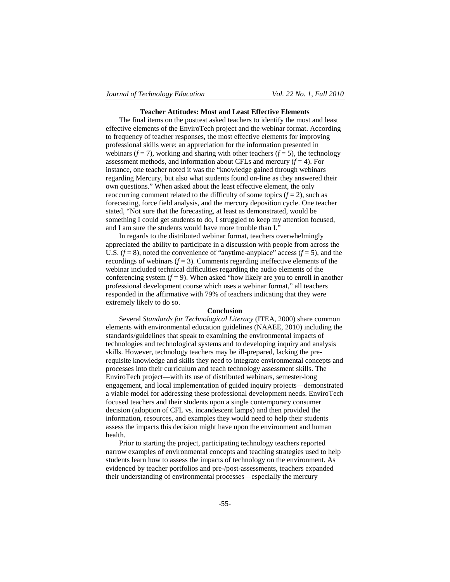#### **Teacher Attitudes: Most and Least Effective Elements**

The final items on the posttest asked teachers to identify the most and least effective elements of the EnviroTech project and the webinar format. According to frequency of teacher responses, the most effective elements for improving professional skills were: an appreciation for the information presented in webinars  $(f = 7)$ , working and sharing with other teachers  $(f = 5)$ , the technology assessment methods, and information about CFLs and mercury  $(f = 4)$ . For instance, one teacher noted it was the "knowledge gained through webinars regarding Mercury, but also what students found on-line as they answered their own questions." When asked about the least effective element, the only reoccurring comment related to the difficulty of some topics  $(f = 2)$ , such as forecasting, force field analysis, and the mercury deposition cycle. One teacher stated, "Not sure that the forecasting, at least as demonstrated, would be something I could get students to do, I struggled to keep my attention focused, and I am sure the students would have more trouble than I."

In regards to the distributed webinar format, teachers overwhelmingly appreciated the ability to participate in a discussion with people from across the U.S.  $(f = 8)$ , noted the convenience of "anytime-anyplace" access  $(f = 5)$ , and the recordings of webinars  $(f = 3)$ . Comments regarding ineffective elements of the webinar included technical difficulties regarding the audio elements of the conferencing system  $(f = 9)$ . When asked "how likely are you to enroll in another professional development course which uses a webinar format," all teachers responded in the affirmative with 79% of teachers indicating that they were extremely likely to do so.

#### **Conclusion**

Several *Standards for Technological Literacy* (ITEA, 2000) share common elements with environmental education guidelines (NAAEE, 2010) including the standards/guidelines that speak to examining the environmental impacts of technologies and technological systems and to developing inquiry and analysis skills. However, technology teachers may be ill-prepared, lacking the prerequisite knowledge and skills they need to integrate environmental concepts and processes into their curriculum and teach technology assessment skills. The EnviroTech project—with its use of distributed webinars, semester-long engagement, and local implementation of guided inquiry projects—demonstrated a viable model for addressing these professional development needs. EnviroTech focused teachers and their students upon a single contemporary consumer decision (adoption of CFL vs. incandescent lamps) and then provided the information, resources, and examples they would need to help their students assess the impacts this decision might have upon the environment and human health.

Prior to starting the project, participating technology teachers reported narrow examples of environmental concepts and teaching strategies used to help students learn how to assess the impacts of technology on the environment. As evidenced by teacher portfolios and pre-/post-assessments, teachers expanded their understanding of environmental processes—especially the mercury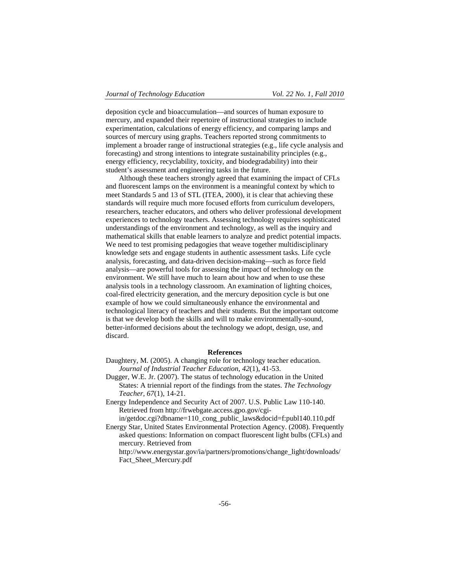deposition cycle and bioaccumulation—and sources of human exposure to mercury, and expanded their repertoire of instructional strategies to include experimentation, calculations of energy efficiency, and comparing lamps and sources of mercury using graphs. Teachers reported strong commitments to implement a broader range of instructional strategies (e.g., life cycle analysis and forecasting) and strong intentions to integrate sustainability principles (e.g., energy efficiency, recyclability, toxicity, and biodegradability) into their student's assessment and engineering tasks in the future.

Although these teachers strongly agreed that examining the impact of CFLs and fluorescent lamps on the environment is a meaningful context by which to meet Standards 5 and 13 of STL (ITEA, 2000), it is clear that achieving these standards will require much more focused efforts from curriculum developers, researchers, teacher educators, and others who deliver professional development experiences to technology teachers. Assessing technology requires sophisticated understandings of the environment and technology, as well as the inquiry and mathematical skills that enable learners to analyze and predict potential impacts. We need to test promising pedagogies that weave together multidisciplinary knowledge sets and engage students in authentic assessment tasks. Life cycle analysis, forecasting, and data-driven decision-making—such as force field analysis—are powerful tools for assessing the impact of technology on the environment. We still have much to learn about how and when to use these analysis tools in a technology classroom. An examination of lighting choices, coal-fired electricity generation, and the mercury deposition cycle is but one example of how we could simultaneously enhance the environmental and technological literacy of teachers and their students. But the important outcome is that we develop both the skills and will to make environmentally-sound, better-informed decisions about the technology we adopt, design, use, and discard.

#### **References**

- Daughtery, M. (2005). A changing role for technology teacher education. *Journal of Industrial Teacher Education, 42*(1), 41-53.
- Dugger, W.E. Jr. (2007). The status of technology education in the United States: A triennial report of the findings from the states. *The Technology Teacher, 67*(1), 14-21.
- Energy Independence and Security Act of 2007. U.S. Public Law 110-140. Retrieved from http://frwebgate.access.gpo.gov/cgi-

in/getdoc.cgi?dbname=110\_cong\_public\_laws&docid=f:publ140.110.pdf

Energy Star, United States Environmental Protection Agency. (2008). Frequently asked questions: Information on compact fluorescent light bulbs (CFLs) and mercury. Retrieved from

http://www.energystar.gov/ia/partners/promotions/change\_light/downloads/ Fact\_Sheet\_Mercury.pdf